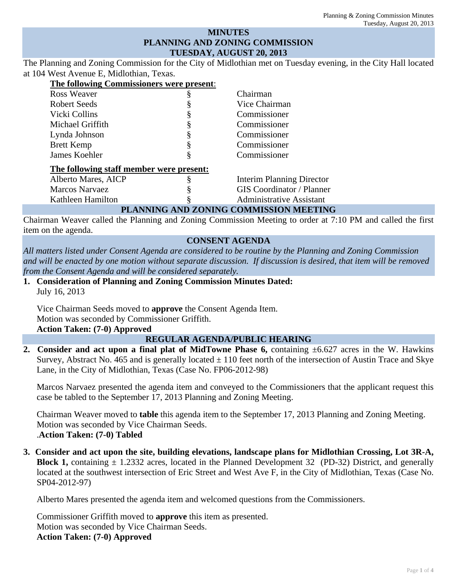## **MINUTES PLANNING AND ZONING COMMISSION TUESDAY, AUGUST 20, 2013**

The Planning and Zoning Commission for the City of Midlothian met on Tuesday evening, in the City Hall located at 104 West Avenue E, Midlothian, Texas.

| The following Commissioners were present: |   |                                        |
|-------------------------------------------|---|----------------------------------------|
| <b>Ross Weaver</b>                        |   | Chairman                               |
| Robert Seeds                              |   | Vice Chairman                          |
| Vicki Collins                             |   | Commissioner                           |
| Michael Griffith                          |   | Commissioner                           |
| Lynda Johnson                             |   | Commissioner                           |
| <b>Brett Kemp</b>                         | § | Commissioner                           |
| James Koehler                             | § | Commissioner                           |
| The following staff member were present:  |   |                                        |
| Alberto Mares, AICP                       |   | <b>Interim Planning Director</b>       |
| <b>Marcos Narvaez</b>                     |   | <b>GIS</b> Coordinator / Planner       |
| Kathleen Hamilton                         |   | <b>Administrative Assistant</b>        |
|                                           |   | PLANNING AND ZONING COMMISSION MEETING |

Chairman Weaver called the Planning and Zoning Commission Meeting to order at 7:10 PM and called the first item on the agenda.

# **CONSENT AGENDA**

*All matters listed under Consent Agenda are considered to be routine by the Planning and Zoning Commission and will be enacted by one motion without separate discussion. If discussion is desired, that item will be removed from the Consent Agenda and will be considered separately.*

**1. Consideration of Planning and Zoning Commission Minutes Dated:**  July 16, 2013

Vice Chairman Seeds moved to **approve** the Consent Agenda Item. Motion was seconded by Commissioner Griffith. **Action Taken: (7-0) Approved** 

## **REGULAR AGENDA/PUBLIC HEARING**

**2. Consider and act upon a final plat of MidTowne Phase 6,** containing ±6.627 acres in the W. Hawkins Survey, Abstract No. 465 and is generally located  $\pm$  110 feet north of the intersection of Austin Trace and Skye Lane, in the City of Midlothian, Texas (Case No. FP06-2012-98)

Marcos Narvaez presented the agenda item and conveyed to the Commissioners that the applicant request this case be tabled to the September 17, 2013 Planning and Zoning Meeting.

Chairman Weaver moved to **table** this agenda item to the September 17, 2013 Planning and Zoning Meeting. Motion was seconded by Vice Chairman Seeds. .**Action Taken: (7-0) Tabled** 

**3. Consider and act upon the site, building elevations, landscape plans for Midlothian Crossing, Lot 3R-A, Block 1,** containing  $\pm$  1.2332 acres, located in the Planned Development 32 (PD-32) District, and generally located at the southwest intersection of Eric Street and West Ave F, in the City of Midlothian, Texas (Case No. SP04-2012-97)

Alberto Mares presented the agenda item and welcomed questions from the Commissioners.

Commissioner Griffith moved to **approve** this item as presented. Motion was seconded by Vice Chairman Seeds. **Action Taken: (7-0) Approved**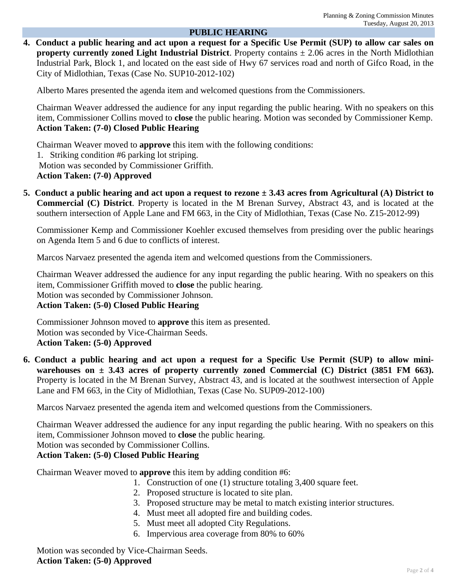### **PUBLIC HEARING**

**4. Conduct a public hearing and act upon a request for a Specific Use Permit (SUP) to allow car sales on property currently zoned Light Industrial District**. Property contains  $\pm$  2.06 acres in the North Midlothian Industrial Park, Block 1, and located on the east side of Hwy 67 services road and north of Gifco Road, in the City of Midlothian, Texas (Case No. SUP10-2012-102)

Alberto Mares presented the agenda item and welcomed questions from the Commissioners.

Chairman Weaver addressed the audience for any input regarding the public hearing. With no speakers on this item, Commissioner Collins moved to **close** the public hearing. Motion was seconded by Commissioner Kemp. **Action Taken: (7-0) Closed Public Hearing** 

Chairman Weaver moved to **approve** this item with the following conditions: 1. Striking condition #6 parking lot striping. Motion was seconded by Commissioner Griffith. **Action Taken: (7-0) Approved** 

**5. Conduct a public hearing and act upon a request to rezone ± 3.43 acres from Agricultural (A) District to Commercial (C) District**. Property is located in the M Brenan Survey, Abstract 43, and is located at the southern intersection of Apple Lane and FM 663, in the City of Midlothian, Texas (Case No. Z15-2012-99)

Commissioner Kemp and Commissioner Koehler excused themselves from presiding over the public hearings on Agenda Item 5 and 6 due to conflicts of interest.

Marcos Narvaez presented the agenda item and welcomed questions from the Commissioners.

Chairman Weaver addressed the audience for any input regarding the public hearing. With no speakers on this item, Commissioner Griffith moved to **close** the public hearing. Motion was seconded by Commissioner Johnson. **Action Taken: (5-0) Closed Public Hearing** 

Commissioner Johnson moved to **approve** this item as presented. Motion was seconded by Vice-Chairman Seeds. **Action Taken: (5-0) Approved** 

**6. Conduct a public hearing and act upon a request for a Specific Use Permit (SUP) to allow miniwarehouses on ± 3.43 acres of property currently zoned Commercial (C) District (3851 FM 663).**  Property is located in the M Brenan Survey, Abstract 43, and is located at the southwest intersection of Apple Lane and FM 663, in the City of Midlothian, Texas (Case No. SUP09-2012-100)

Marcos Narvaez presented the agenda item and welcomed questions from the Commissioners.

Chairman Weaver addressed the audience for any input regarding the public hearing. With no speakers on this item, Commissioner Johnson moved to **close** the public hearing.

Motion was seconded by Commissioner Collins.

## **Action Taken: (5-0) Closed Public Hearing**

Chairman Weaver moved to **approve** this item by adding condition #6:

- 1. Construction of one (1) structure totaling 3,400 square feet.
- 2. Proposed structure is located to site plan.
- 3. Proposed structure may be metal to match existing interior structures.
- 4. Must meet all adopted fire and building codes.
- 5. Must meet all adopted City Regulations.
- 6. Impervious area coverage from 80% to 60%

Motion was seconded by Vice-Chairman Seeds. **Action Taken: (5-0) Approved**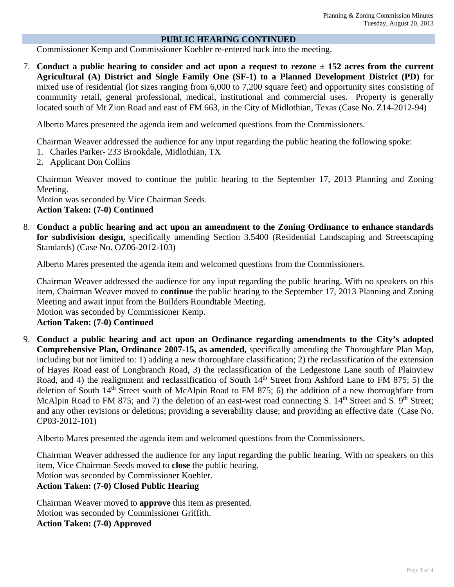#### **PUBLIC HEARING CONTINUED**

Commissioner Kemp and Commissioner Koehler re-entered back into the meeting.

7. **Conduct a public hearing to consider and act upon a request to rezone ± 152 acres from the current Agricultural (A) District and Single Family One (SF-1) to a Planned Development District (PD)** for mixed use of residential (lot sizes ranging from 6,000 to 7,200 square feet) and opportunity sites consisting of community retail, general professional, medical, institutional and commercial uses. Property is generally located south of Mt Zion Road and east of FM 663, in the City of Midlothian, Texas (Case No. Z14-2012-94)

Alberto Mares presented the agenda item and welcomed questions from the Commissioners.

Chairman Weaver addressed the audience for any input regarding the public hearing the following spoke:

- 1. Charles Parker- 233 Brookdale, Midlothian, TX
- 2. Applicant Don Collins

Chairman Weaver moved to continue the public hearing to the September 17, 2013 Planning and Zoning Meeting.

Motion was seconded by Vice Chairman Seeds.

**Action Taken: (7-0) Continued** 

8. **Conduct a public hearing and act upon an amendment to the Zoning Ordinance to enhance standards for subdivision design,** specifically amending Section 3.5400 (Residential Landscaping and Streetscaping Standards) (Case No. OZ06-2012-103)

Alberto Mares presented the agenda item and welcomed questions from the Commissioners.

Chairman Weaver addressed the audience for any input regarding the public hearing. With no speakers on this item, Chairman Weaver moved to **continue** the public hearing to the September 17, 2013 Planning and Zoning Meeting and await input from the Builders Roundtable Meeting.

Motion was seconded by Commissioner Kemp.

**Action Taken: (7-0) Continued** 

9. **Conduct a public hearing and act upon an Ordinance regarding amendments to the City's adopted Comprehensive Plan, Ordinance 2007-15, as amended,** specifically amending the Thoroughfare Plan Map, including but not limited to: 1) adding a new thoroughfare classification; 2) the reclassification of the extension of Hayes Road east of Longbranch Road, 3) the reclassification of the Ledgestone Lane south of Plainview Road, and 4) the realignment and reclassification of South 14<sup>th</sup> Street from Ashford Lane to FM 875; 5) the deletion of South 14<sup>th</sup> Street south of McAlpin Road to FM 875; 6) the addition of a new thoroughfare from McAlpin Road to FM 875; and 7) the deletion of an east-west road connecting S. 14<sup>th</sup> Street and S. 9<sup>th</sup> Street; and any other revisions or deletions; providing a severability clause; and providing an effective date (Case No. CP03-2012-101)

Alberto Mares presented the agenda item and welcomed questions from the Commissioners.

Chairman Weaver addressed the audience for any input regarding the public hearing. With no speakers on this item, Vice Chairman Seeds moved to **close** the public hearing. Motion was seconded by Commissioner Koehler.

**Action Taken: (7-0) Closed Public Hearing** 

Chairman Weaver moved to **approve** this item as presented. Motion was seconded by Commissioner Griffith. **Action Taken: (7-0) Approved**